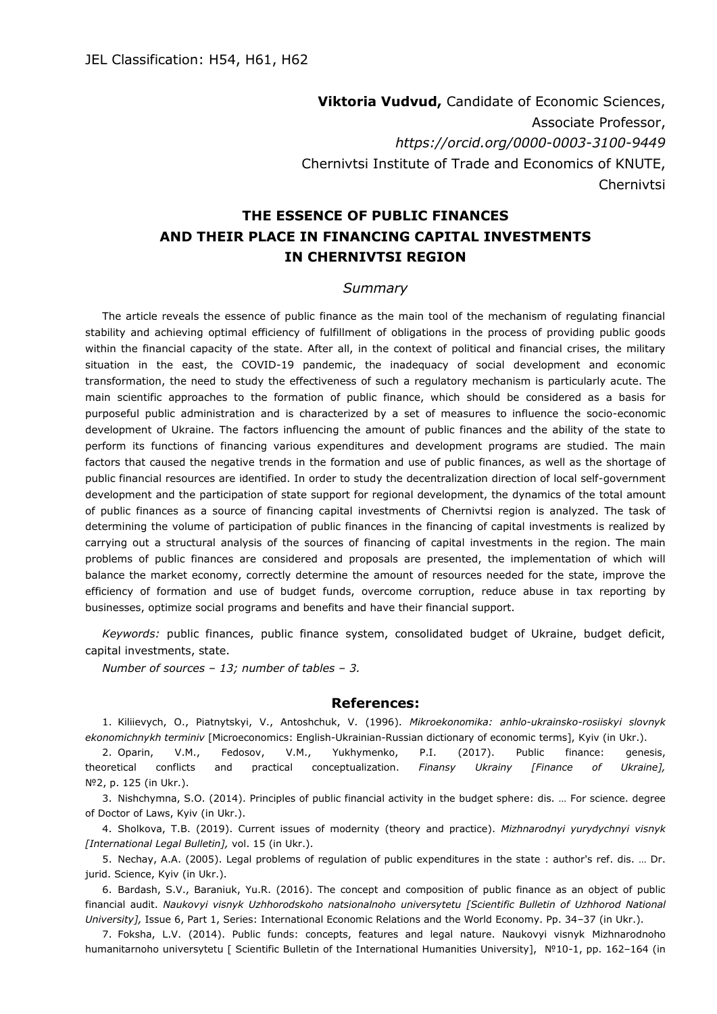**Viktoria Vudvud,** Candidate of Economic Sciences, Associate Professor, *https://orcid.org/0000-0003-3100-9449* Chernivtsi Institute of Trade and Economics of KNUTE, Chernivtsi

## **THE ESSENCE OF PUBLIC FINANCES AND THEIR PLACE IN FINANCING CAPITAL INVESTMENTS IN CHERNIVTSI REGION**

## *Summary*

The article reveals the essence of public finance as the main tool of the mechanism of regulating financial stability and achieving optimal efficiency of fulfillment of obligations in the process of providing public goods within the financial capacity of the state. After all, in the context of political and financial crises, the military situation in the east, the COVID-19 pandemic, the inadequacy of social development and economic transformation, the need to study the effectiveness of such a regulatory mechanism is particularly acute. The main scientific approaches to the formation of public finance, which should be considered as a basis for purposeful public administration and is characterized by a set of measures to influence the socio-economic development of Ukraine. The factors influencing the amount of public finances and the ability of the state to perform its functions of financing various expenditures and development programs are studied. The main factors that caused the negative trends in the formation and use of public finances, as well as the shortage of public financial resources are identified. In order to study the decentralization direction of local self-government development and the participation of state support for regional development, the dynamics of the total amount of public finances as a source of financing capital investments of Chernivtsi region is analyzed. The task of determining the volume of participation of public finances in the financing of capital investments is realized by carrying out a structural analysis of the sources of financing of capital investments in the region. The main problems of public finances are considered and proposals are presented, the implementation of which will balance the market economy, correctly determine the amount of resources needed for the state, improve the efficiency of formation and use of budget funds, overcome corruption, reduce abuse in tax reporting by businesses, optimize social programs and benefits and have their financial support.

*Keywords:* public finances, public finance system, consolidated budget of Ukraine, budget deficit, capital investments, state.

*Number of sources – 13; number of tables – 3.*

## **References:**

1. Kiliievych, O., Piatnytskyi, V., Antoshchuk, V. (1996). *Mikroekonomika: anhlo-ukrainsko-rosiiskyi slovnyk ekonomichnykh terminiv* [Microeconomics: English-Ukrainian-Russian dictionary of economic terms], Kyiv (in Ukr.).

2. Oparin, V.M., Fedosov, V.M., Yukhymenko, P.I. (2017). Public finance: genesis, theoretical conflicts and practical conceptualization. *Finansy Ukrainy [Finance of Ukraine],* №2, p. 125 (in Ukr.).

3. Nishchymna, S.O. (2014). Principles of public financial activity in the budget sphere: dis. … For science. degree of Doctor of Laws, Kyiv (in Ukr.).

4. Sholkova, T.B. (2019). Current issues of modernity (theory and practice). *Mizhnarodnyi yurydychnyi visnyk [International Legal Bulletin],* vol. 15 (in Ukr.).

5. Nechay, A.A. (2005). Legal problems of regulation of public expenditures in the state : author's ref. dis. … Dr. jurid. Science, Kyiv (in Ukr.).

6. Bardash, S.V., Baraniuk, Yu.R. (2016). The concept and composition of public finance as an object of public financial audit. *Naukovyi visnyk Uzhhorodskoho natsionalnoho universytetu [Scientific Bulletin of Uzhhorod National University],* Issue 6, Part 1, Series: International Economic Relations and the World Economy. Pp. 34–37 (in Ukr.).

7. Foksha, L.V. (2014). Public funds: concepts, features and legal nature. Naukovyi visnyk Mizhnarodnoho humanitarnoho universytetu [ Scientific Bulletin of the International Humanities University], №10-1, pp. 162–164 (in